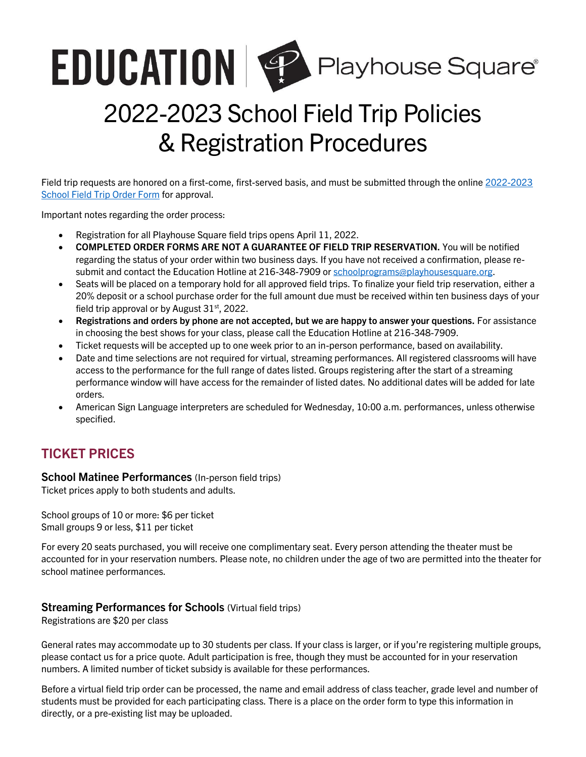# **EDUCATION | Playhouse Square**

# 2022-2023 School Field Trip Policies & Registration Procedures

Field trip requests are honored on a first-come, first-served basis, and must be submitted through the online 2022-2023 [School Field Trip Order Form](https://venues.wufoo.com/forms/20222023-school-field-trip-order-form/) for approval.

Important notes regarding the order process:

- Registration for all Playhouse Square field trips opens April 11, 2022.
- **COMPLETED ORDER FORMS ARE NOT A GUARANTEE OF FIELD TRIP RESERVATION.** You will be notified regarding the status of your order within two business days. If you have not received a confirmation, please resubmit and contact the Education Hotline at 216-348-7909 o[r schoolprograms@playhousesquare.org.](mailto:schoolprograms@playhousesquare.org)
- Seats will be placed on a temporary hold for all approved field trips. To finalize your field trip reservation, either a 20% deposit or a school purchase order for the full amount due must be received within ten business days of your field trip approval or by August  $31<sup>st</sup>$ , 2022.
- **Registrations and orders by phone are not accepted, but we are happy to answer your questions.** For assistance in choosing the best shows for your class, please call the Education Hotline at 216-348-7909.
- Ticket requests will be accepted up to one week prior to an in-person performance, based on availability.
- Date and time selections are not required for virtual, streaming performances. All registered classrooms will have access to the performance for the full range of dates listed. Groups registering after the start of a streaming performance window will have access for the remainder of listed dates. No additional dates will be added for late orders.
- American Sign Language interpreters are scheduled for Wednesday, 10:00 a.m. performances, unless otherwise specified.

## **TICKET PRICES**

**School Matinee Performances** (In-person field trips)

Ticket prices apply to both students and adults.

School groups of 10 or more: \$6 per ticket Small groups 9 or less, \$11 per ticket

For every 20 seats purchased, you will receive one complimentary seat. Every person attending the theater must be accounted for in your reservation numbers. Please note, no children under the age of two are permitted into the theater for school matinee performances.

#### **Streaming Performances for Schools** (Virtual field trips)

Registrations are \$20 per class

General rates may accommodate up to 30 students per class. If your class is larger, or if you're registering multiple groups, please contact us for a price quote. Adult participation is free, though they must be accounted for in your reservation numbers. A limited number of ticket subsidy is available for these performances.

Before a virtual field trip order can be processed, the name and email address of class teacher, grade level and number of students must be provided for each participating class. There is a place on the order form to type this information in directly, or a pre-existing list may be uploaded.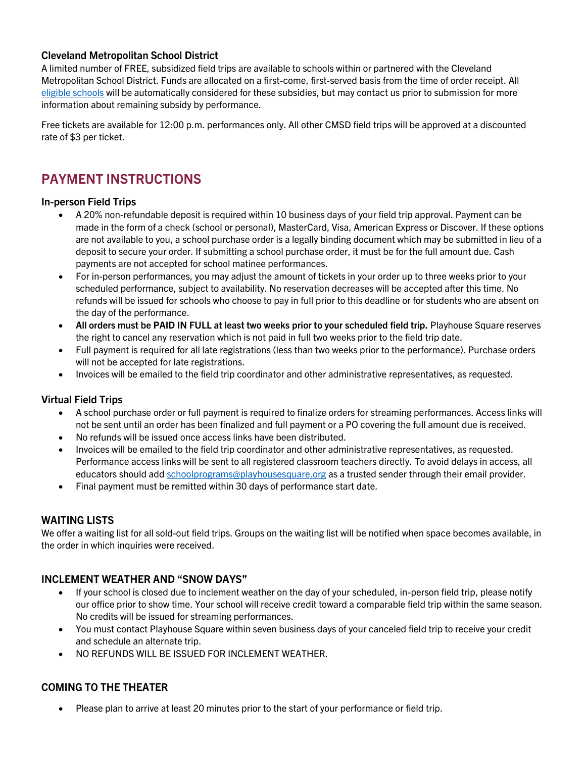#### **Cleveland Metropolitan School District**

A limited number of FREE, subsidized field trips are available to schools within or partnered with the Cleveland Metropolitan School District. Funds are allocated on a first-come, first-served basis from the time of order receipt. All [eligible schools](https://www.playhousesquare.org/assets/doc/cmsd_subsidy_eligibility_list_2-183b3746c6.pdf) will be automatically considered for these subsidies, but may contact us prior to submission for more information about remaining subsidy by performance.

Free tickets are available for 12:00 p.m. performances only. All other CMSD field trips will be approved at a discounted rate of \$3 per ticket.

### **PAYMENT INSTRUCTIONS**

#### **In-person Field Trips**

- A 20% non-refundable deposit is required within 10 business days of your field trip approval. Payment can be made in the form of a check (school or personal), MasterCard, Visa, American Express or Discover. If these options are not available to you, a school purchase order is a legally binding document which may be submitted in lieu of a deposit to secure your order. If submitting a school purchase order, it must be for the full amount due. Cash payments are not accepted for school matinee performances.
- For in-person performances, you may adjust the amount of tickets in your order up to three weeks prior to your scheduled performance, subject to availability. No reservation decreases will be accepted after this time. No refunds will be issued for schools who choose to pay in full prior to this deadline or for students who are absent on the day of the performance.
- **All orders must be PAID IN FULL at least two weeks prior to your scheduled field trip.** Playhouse Square reserves the right to cancel any reservation which is not paid in full two weeks prior to the field trip date.
- Full payment is required for all late registrations (less than two weeks prior to the performance). Purchase orders will not be accepted for late registrations.
- Invoices will be emailed to the field trip coordinator and other administrative representatives, as requested.

#### **Virtual Field Trips**

- A school purchase order or full payment is required to finalize orders for streaming performances. Access links will not be sent until an order has been finalized and full payment or a PO covering the full amount due is received.
- No refunds will be issued once access links have been distributed.
- Invoices will be emailed to the field trip coordinator and other administrative representatives, as requested. Performance access links will be sent to all registered classroom teachers directly. To avoid delays in access, all educators should add [schoolprograms@playhousesquare.org](mailto:schoolprograms@playhousesquare.org) as a trusted sender through their email provider.
- Final payment must be remitted within 30 days of performance start date.

#### **WAITING LISTS**

We offer a waiting list for all sold-out field trips. Groups on the waiting list will be notified when space becomes available, in the order in which inquiries were received.

#### **INCLEMENT WEATHER AND "SNOW DAYS"**

- If your school is closed due to inclement weather on the day of your scheduled, in-person field trip, please notify our office prior to show time. Your school will receive credit toward a comparable field trip within the same season. No credits will be issued for streaming performances.
- You must contact Playhouse Square within seven business days of your canceled field trip to receive your credit and schedule an alternate trip.
- NO REFUNDS WILL BE ISSUED FOR INCLEMENT WEATHER.

#### **COMING TO THE THEATER**

• Please plan to arrive at least 20 minutes prior to the start of your performance or field trip.